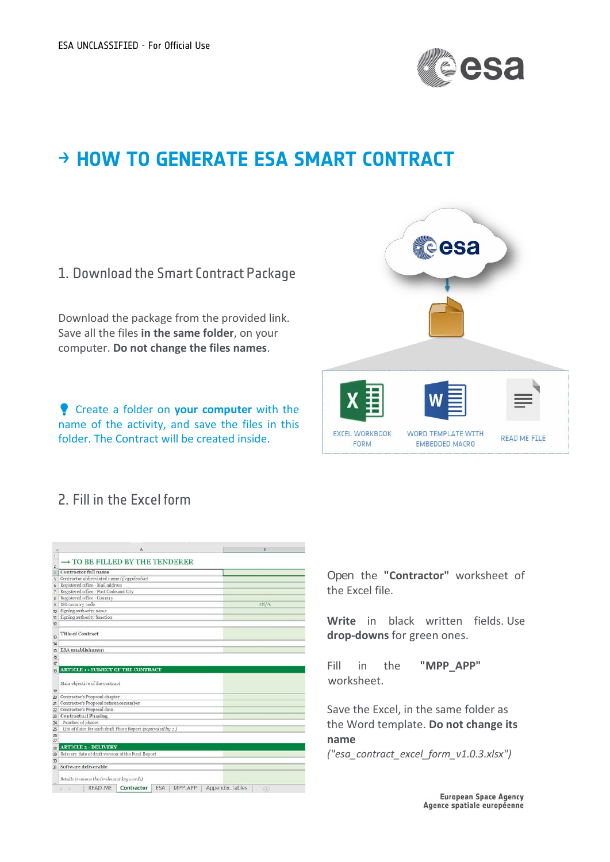

## → **HOW TO GENERATE ESA SMART CONTRACT**



## 2. Fill in the Excel form

| TO BE FILLED BY THE TENDERER<br>Contractor full name<br>Contractor abbreviated name (if applicable)<br>Registered office - Mail address<br>Registered office - Post Code and City<br>Registered office - Country<br>ISO country code<br>Signing authority name<br>Signing authority function<br>Title of Contract<br><b>ESA</b> establishment<br><b>ARTICLE 1 - SUBJECT OF THE CONTRACT</b><br>Main objective of the contract | \$N/A |
|-------------------------------------------------------------------------------------------------------------------------------------------------------------------------------------------------------------------------------------------------------------------------------------------------------------------------------------------------------------------------------------------------------------------------------|-------|
|                                                                                                                                                                                                                                                                                                                                                                                                                               |       |
|                                                                                                                                                                                                                                                                                                                                                                                                                               |       |
|                                                                                                                                                                                                                                                                                                                                                                                                                               |       |
|                                                                                                                                                                                                                                                                                                                                                                                                                               |       |
|                                                                                                                                                                                                                                                                                                                                                                                                                               |       |
|                                                                                                                                                                                                                                                                                                                                                                                                                               |       |
|                                                                                                                                                                                                                                                                                                                                                                                                                               |       |
|                                                                                                                                                                                                                                                                                                                                                                                                                               |       |
|                                                                                                                                                                                                                                                                                                                                                                                                                               |       |
|                                                                                                                                                                                                                                                                                                                                                                                                                               |       |
|                                                                                                                                                                                                                                                                                                                                                                                                                               |       |
|                                                                                                                                                                                                                                                                                                                                                                                                                               |       |
|                                                                                                                                                                                                                                                                                                                                                                                                                               |       |
|                                                                                                                                                                                                                                                                                                                                                                                                                               |       |
|                                                                                                                                                                                                                                                                                                                                                                                                                               |       |
|                                                                                                                                                                                                                                                                                                                                                                                                                               |       |
|                                                                                                                                                                                                                                                                                                                                                                                                                               |       |
|                                                                                                                                                                                                                                                                                                                                                                                                                               |       |
|                                                                                                                                                                                                                                                                                                                                                                                                                               |       |
|                                                                                                                                                                                                                                                                                                                                                                                                                               |       |
|                                                                                                                                                                                                                                                                                                                                                                                                                               |       |
| Contractor's Proposal chapter                                                                                                                                                                                                                                                                                                                                                                                                 |       |
| Contractor's Proposal reference number                                                                                                                                                                                                                                                                                                                                                                                        |       |
| Contractor's Proposal date                                                                                                                                                                                                                                                                                                                                                                                                    |       |
| <b>Contractual Phasing</b>                                                                                                                                                                                                                                                                                                                                                                                                    |       |
| Number of phases                                                                                                                                                                                                                                                                                                                                                                                                              |       |
| List of dates for each draft Phase Report (separated by ; )                                                                                                                                                                                                                                                                                                                                                                   |       |
|                                                                                                                                                                                                                                                                                                                                                                                                                               |       |
|                                                                                                                                                                                                                                                                                                                                                                                                                               |       |
| <b>ARTICLE 2 - DELIVERY</b>                                                                                                                                                                                                                                                                                                                                                                                                   |       |
| Delivery date of draft version of the Final Report                                                                                                                                                                                                                                                                                                                                                                            |       |
|                                                                                                                                                                                                                                                                                                                                                                                                                               |       |
| Software deliverable                                                                                                                                                                                                                                                                                                                                                                                                          |       |
|                                                                                                                                                                                                                                                                                                                                                                                                                               |       |
|                                                                                                                                                                                                                                                                                                                                                                                                                               |       |

Open the **"Contractor"** worksheet of the Excel file.

**Write** in black written fields. Use **drop-downs** for green ones.

Fill in the **"MPP\_APP"** worksheet.

Save the Excel, in the same folder as the Word template. **Do not change its name** 

*("esa\_contract\_excel\_form\_v1.0.3.xlsx")*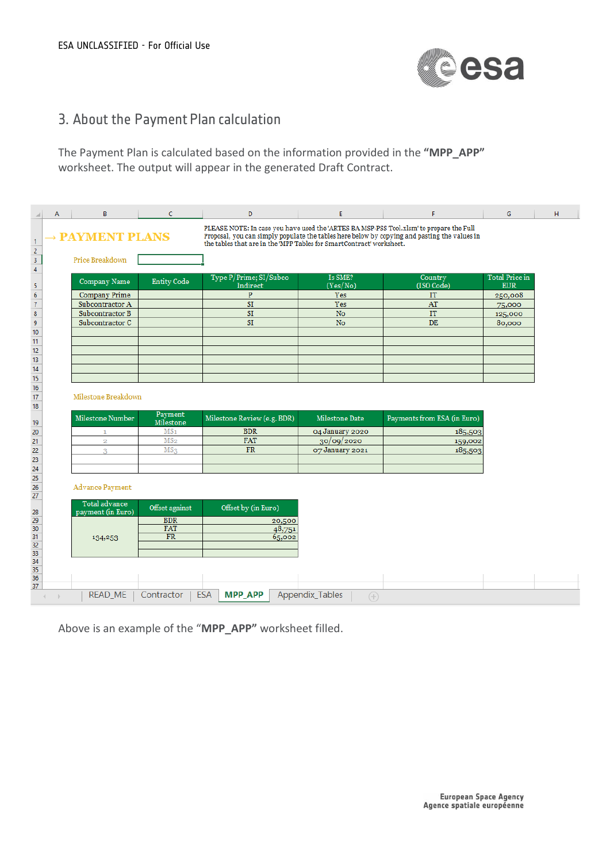

## 3. About the Payment Plan calculation

The Payment Plan is calculated based on the information provided in the **"MPP\_APP"** worksheet. The output will appear in the generated Draft Contract.

| $\mathcal{A}% _{0}=\mathcal{A}_{0}=\mathcal{A}_{0}=\mathcal{A}_{0}=\mathcal{A}_{0}=\mathcal{A}_{0}=\mathcal{A}_{0}=\mathcal{A}_{0}=\mathcal{A}_{0}=\mathcal{A}_{0}=\mathcal{A}_{0}=\mathcal{A}_{0}=\mathcal{A}_{0}=\mathcal{A}_{0}=\mathcal{A}_{0}=\mathcal{A}_{0}=\mathcal{A}_{0}=\mathcal{A}_{0}=\mathcal{A}_{0}=\mathcal{A}_{0}=\mathcal{A}_{0}=\mathcal{A}_{0}=\mathcal{A}_{0}=\mathcal{A}_{0}=\mathcal{A}_{0}=\mathcal{A}_{0}=\mathcal{A}_{0}=\math$ | А | B                      | C                            | D                                                                                                                                                                                                                                                              | E.                                    | F                           | G                     | H |  |
|-----------------------------------------------------------------------------------------------------------------------------------------------------------------------------------------------------------------------------------------------------------------------------------------------------------------------------------------------------------------------------------------------------------------------------------------------------------|---|------------------------|------------------------------|----------------------------------------------------------------------------------------------------------------------------------------------------------------------------------------------------------------------------------------------------------------|---------------------------------------|-----------------------------|-----------------------|---|--|
| $\mathbf{1}$<br>$\sqrt{2}$                                                                                                                                                                                                                                                                                                                                                                                                                                |   | <b>MENT PLANS</b>      |                              | PLEASE NOTE: In case you have used the 'ARTES BA MSP-PSS Tool.xlsm' to prepare the Full<br>Proposal, you can simply populate the tables here below by copying and pasting the values in<br>the tables that are in the MPP Tables for SmartContract' worksheet. |                                       |                             |                       |   |  |
| 3                                                                                                                                                                                                                                                                                                                                                                                                                                                         |   | Price Breakdown        |                              |                                                                                                                                                                                                                                                                |                                       |                             |                       |   |  |
| $\overline{4}$                                                                                                                                                                                                                                                                                                                                                                                                                                            |   |                        |                              | Type P/Prime; SI/Subco                                                                                                                                                                                                                                         | Is SME?                               | Country                     | <b>Total Price in</b> |   |  |
| 5                                                                                                                                                                                                                                                                                                                                                                                                                                                         |   | Company Name           | <b>Entity Code</b>           | Indirect                                                                                                                                                                                                                                                       | (Yes/No)                              | (ISO Code)                  | <b>EUR</b>            |   |  |
| $\boldsymbol{6}$                                                                                                                                                                                                                                                                                                                                                                                                                                          |   | <b>Company Prime</b>   |                              | $\, {\bf p}$                                                                                                                                                                                                                                                   | Yes                                   | IT                          | 250,008               |   |  |
| $\overline{\mathcal{I}}$                                                                                                                                                                                                                                                                                                                                                                                                                                  |   | Subcontractor A        |                              | SI                                                                                                                                                                                                                                                             | Yes                                   | AT                          | 75,000                |   |  |
| $\pmb{8}$                                                                                                                                                                                                                                                                                                                                                                                                                                                 |   | Subcontractor B        |                              | SI                                                                                                                                                                                                                                                             | No                                    | IT                          | 125,000               |   |  |
| $\boldsymbol{9}$                                                                                                                                                                                                                                                                                                                                                                                                                                          |   | Subcontractor C        |                              | SI                                                                                                                                                                                                                                                             | <b>No</b>                             | DE                          | 80,000                |   |  |
| 10                                                                                                                                                                                                                                                                                                                                                                                                                                                        |   |                        |                              |                                                                                                                                                                                                                                                                |                                       |                             |                       |   |  |
| 11<br>12                                                                                                                                                                                                                                                                                                                                                                                                                                                  |   |                        |                              |                                                                                                                                                                                                                                                                |                                       |                             |                       |   |  |
| 13                                                                                                                                                                                                                                                                                                                                                                                                                                                        |   |                        |                              |                                                                                                                                                                                                                                                                |                                       |                             |                       |   |  |
| 14                                                                                                                                                                                                                                                                                                                                                                                                                                                        |   |                        |                              |                                                                                                                                                                                                                                                                |                                       |                             |                       |   |  |
| 15                                                                                                                                                                                                                                                                                                                                                                                                                                                        |   |                        |                              |                                                                                                                                                                                                                                                                |                                       |                             |                       |   |  |
| 16                                                                                                                                                                                                                                                                                                                                                                                                                                                        |   |                        |                              |                                                                                                                                                                                                                                                                |                                       |                             |                       |   |  |
| 17                                                                                                                                                                                                                                                                                                                                                                                                                                                        |   | Milestone Breakdown    |                              |                                                                                                                                                                                                                                                                |                                       |                             |                       |   |  |
| 18                                                                                                                                                                                                                                                                                                                                                                                                                                                        |   |                        |                              |                                                                                                                                                                                                                                                                |                                       |                             |                       |   |  |
|                                                                                                                                                                                                                                                                                                                                                                                                                                                           |   |                        |                              |                                                                                                                                                                                                                                                                |                                       |                             |                       |   |  |
|                                                                                                                                                                                                                                                                                                                                                                                                                                                           |   | Milestone Number       | Payment                      | Milestone Review (e.g. BDR)                                                                                                                                                                                                                                    | Milestone Date                        | Payments from ESA (in Euro) |                       |   |  |
| 19                                                                                                                                                                                                                                                                                                                                                                                                                                                        |   | $\mathbf{1}$           | Milestone<br>MS <sub>1</sub> | <b>BDR</b>                                                                                                                                                                                                                                                     | 04 January 2020                       | 185,503                     |                       |   |  |
| 20<br>21                                                                                                                                                                                                                                                                                                                                                                                                                                                  |   | $\overline{2}$         | MS <sub>2</sub>              | <b>FAT</b>                                                                                                                                                                                                                                                     | 30/09/2020                            | 159,002                     |                       |   |  |
|                                                                                                                                                                                                                                                                                                                                                                                                                                                           |   | 3                      | MS <sub>3</sub>              | <b>FR</b>                                                                                                                                                                                                                                                      | 07 January 2021                       | 185,503                     |                       |   |  |
|                                                                                                                                                                                                                                                                                                                                                                                                                                                           |   |                        |                              |                                                                                                                                                                                                                                                                |                                       |                             |                       |   |  |
| 22<br>23<br>24                                                                                                                                                                                                                                                                                                                                                                                                                                            |   |                        |                              |                                                                                                                                                                                                                                                                |                                       |                             |                       |   |  |
|                                                                                                                                                                                                                                                                                                                                                                                                                                                           |   |                        |                              |                                                                                                                                                                                                                                                                |                                       |                             |                       |   |  |
| 25<br>26                                                                                                                                                                                                                                                                                                                                                                                                                                                  |   | <b>Advance Payment</b> |                              |                                                                                                                                                                                                                                                                |                                       |                             |                       |   |  |
| 27                                                                                                                                                                                                                                                                                                                                                                                                                                                        |   | Total advance          |                              |                                                                                                                                                                                                                                                                |                                       |                             |                       |   |  |
|                                                                                                                                                                                                                                                                                                                                                                                                                                                           |   | payment (in Euro)      | Offset against               | Offset by (in Euro)                                                                                                                                                                                                                                            |                                       |                             |                       |   |  |
|                                                                                                                                                                                                                                                                                                                                                                                                                                                           |   |                        | <b>BDR</b>                   | 20,500                                                                                                                                                                                                                                                         |                                       |                             |                       |   |  |
|                                                                                                                                                                                                                                                                                                                                                                                                                                                           |   |                        | <b>FAT</b>                   | 48,751                                                                                                                                                                                                                                                         |                                       |                             |                       |   |  |
| 28<br>29<br>$30\,$<br>31                                                                                                                                                                                                                                                                                                                                                                                                                                  |   | 134,253                | FR                           | 65,002                                                                                                                                                                                                                                                         |                                       |                             |                       |   |  |
| $32\,$<br>33                                                                                                                                                                                                                                                                                                                                                                                                                                              |   |                        |                              |                                                                                                                                                                                                                                                                |                                       |                             |                       |   |  |
|                                                                                                                                                                                                                                                                                                                                                                                                                                                           |   |                        |                              |                                                                                                                                                                                                                                                                |                                       |                             |                       |   |  |
| $\frac{34}{35}$                                                                                                                                                                                                                                                                                                                                                                                                                                           |   |                        |                              |                                                                                                                                                                                                                                                                |                                       |                             |                       |   |  |
| 36<br>37                                                                                                                                                                                                                                                                                                                                                                                                                                                  |   |                        |                              |                                                                                                                                                                                                                                                                |                                       |                             |                       |   |  |
|                                                                                                                                                                                                                                                                                                                                                                                                                                                           |   | <b>READ ME</b>         | Contractor                   | <b>ESA</b><br><b>MPP APP</b>                                                                                                                                                                                                                                   | <b>Appendix_Tables</b><br>$\bigoplus$ |                             |                       |   |  |

Above is an example of the "**MPP\_APP"** worksheet filled.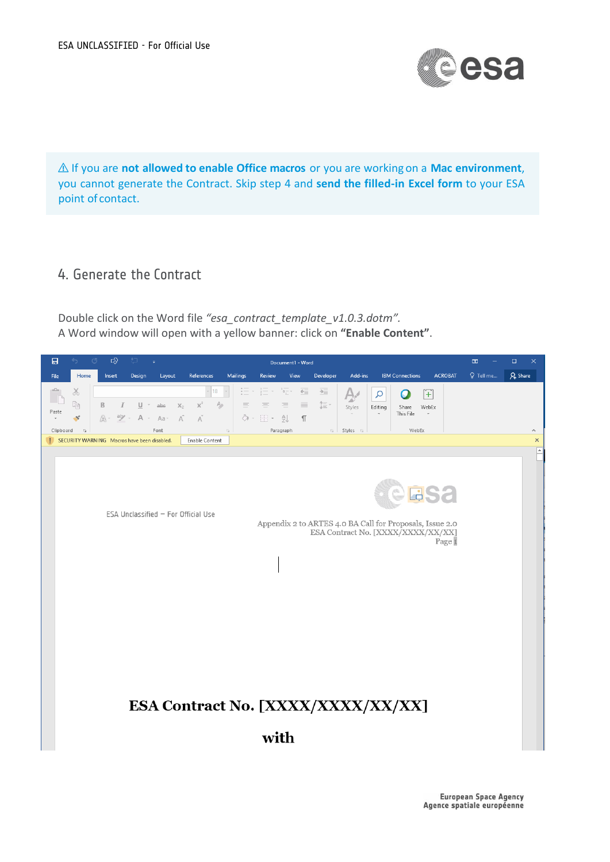

⚠ If you are **not allowed to enable Office macros** or you are working on a **Mac environment**, you cannot generate the Contract. Skip step 4 and **send the filled-in Excel form** to your ESA point of contact.

## 4. Generate the Contract

Double click on the Word file *"esa\_contract\_template\_v1.0.3.dotm".* A Word window will open with a yellow banner: click on **"Enable Content"**.